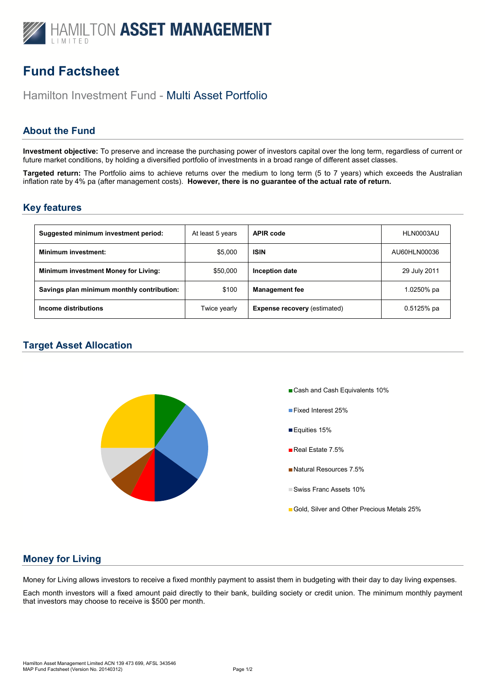

# **Fund Factsheet**

# Hamilton Investment Fund - Multi Asset Portfolio

## **About the Fund**

**Investment objective:** To preserve and increase the purchasing power of investors capital over the long term, regardless of current or future market conditions, by holding a diversified portfolio of investments in a broad range of different asset classes.

**Targeted return:** The Portfolio aims to achieve returns over the medium to long term (5 to 7 years) which exceeds the Australian inflation rate by 4% pa (after management costs). **However, there is no guarantee of the actual rate of return.**

#### **Key features**

| Suggested minimum investment period:        | At least 5 years | <b>APIR code</b>                    | HLN0003AU    |
|---------------------------------------------|------------------|-------------------------------------|--------------|
| <b>Minimum investment:</b>                  | \$5,000          | <b>ISIN</b>                         | AU60HLN00036 |
| <b>Minimum investment Money for Living:</b> | \$50,000         | Inception date                      | 29 July 2011 |
| Savings plan minimum monthly contribution:  | \$100            | <b>Management fee</b>               | 1.0250% pa   |
| Income distributions                        | Twice yearly     | <b>Expense recovery (estimated)</b> | $0.5125%$ pa |

## **Target Asset Allocation**



## **Money for Living**

Money for Living allows investors to receive a fixed monthly payment to assist them in budgeting with their day to day living expenses.

Each month investors will a fixed amount paid directly to their bank, building society or credit union. The minimum monthly payment that investors may choose to receive is \$500 per month.